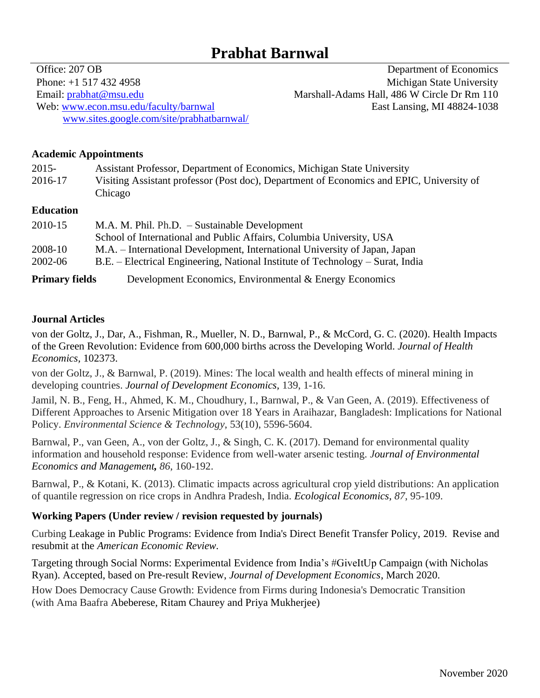# **Prabhat Barnwal**

Phone: +1 517 432 4958 Michigan State University Email: [prabhat@msu.edu](mailto:prabhat@msu.edu) Marshall-Adams Hall, 486 W Circle Dr Rm 110 Web: [www.econ.msu.edu/faculty/barnwal](http://www.econ.msu.edu/faculty/barnwal) [www.sites.google.com/site/prabhatbarnwal/](http://www.sites.google.com/site/prabhatbarnwal/)

Office: 207 OB Department of Economics East Lansing, MI 48824-1038

### **Academic Appointments**

| $2015 -$<br>2016-17            | Assistant Professor, Department of Economics, Michigan State University<br>Visiting Assistant professor (Post doc), Department of Economics and EPIC, University of<br>Chicago                                                                                                                                                     |
|--------------------------------|------------------------------------------------------------------------------------------------------------------------------------------------------------------------------------------------------------------------------------------------------------------------------------------------------------------------------------|
| <b>Education</b><br>$2010 + F$ | $\mathbf{1}$ $\mathbf{1}$ $\mathbf{1}$ $\mathbf{1}$ $\mathbf{1}$ $\mathbf{1}$ $\mathbf{1}$ $\mathbf{1}$ $\mathbf{1}$ $\mathbf{1}$ $\mathbf{1}$ $\mathbf{1}$ $\mathbf{1}$ $\mathbf{1}$ $\mathbf{1}$ $\mathbf{1}$ $\mathbf{1}$ $\mathbf{1}$ $\mathbf{1}$ $\mathbf{1}$ $\mathbf{1}$ $\mathbf{1}$ $\mathbf{1}$ $\mathbf{1}$ $\mathbf{$ |

| 2010-15               | M.A. M. Phil. Ph.D. - Sustainable Development                                  |
|-----------------------|--------------------------------------------------------------------------------|
|                       | School of International and Public Affairs, Columbia University, USA           |
| 2008-10               | M.A. – International Development, International University of Japan, Japan     |
| 2002-06               | B.E. – Electrical Engineering, National Institute of Technology – Surat, India |
| <b>Primary fields</b> | Development Economics, Environmental & Energy Economics                        |

## **Journal Articles**

von der Goltz, J., Dar, A., Fishman, R., Mueller, N. D., Barnwal, P., & McCord, G. C. (2020). Health Impacts of the Green Revolution: Evidence from 600,000 births across the Developing World. *Journal of Health Economics,* 102373.

von der Goltz, J., & Barnwal, P. (2019). Mines: The local wealth and health effects of mineral mining in developing countries. *Journal of Development Economics,* 139, 1-16.

Jamil, N. B., Feng, H., Ahmed, K. M., Choudhury, I., Barnwal, P., & Van Geen, A. (2019). Effectiveness of Different Approaches to Arsenic Mitigation over 18 Years in Araihazar, Bangladesh: Implications for National Policy. *Environmental Science & Technology*, 53(10), 5596-5604.

Barnwal, P., van Geen, A., von der Goltz, J., & Singh, C. K. (2017). Demand for environmental quality information and household response: Evidence from well-water arsenic testing. *Journal of Environmental Economics and Management, 86*, 160-192.

Barnwal, P., & Kotani, K. (2013). Climatic impacts across agricultural crop yield distributions: An application of quantile regression on rice crops in Andhra Pradesh, India. *Ecological Economics, 87*, 95-109.

# **Working Papers (Under review / revision requested by journals)**

Curbing Leakage in Public Programs: Evidence from India's Direct Benefit Transfer Policy, 2019. Revise and resubmit at the *American Economic Review.*

Targeting through Social Norms: Experimental Evidence from India's #GiveItUp Campaign (with Nicholas Ryan). Accepted, based on Pre-result Review, *Journal of Development Economics*, March 2020.

How Does Democracy Cause Growth: Evidence from Firms during Indonesia's Democratic Transition (with Ama Baafra Abeberese, Ritam Chaurey and Priya Mukherjee)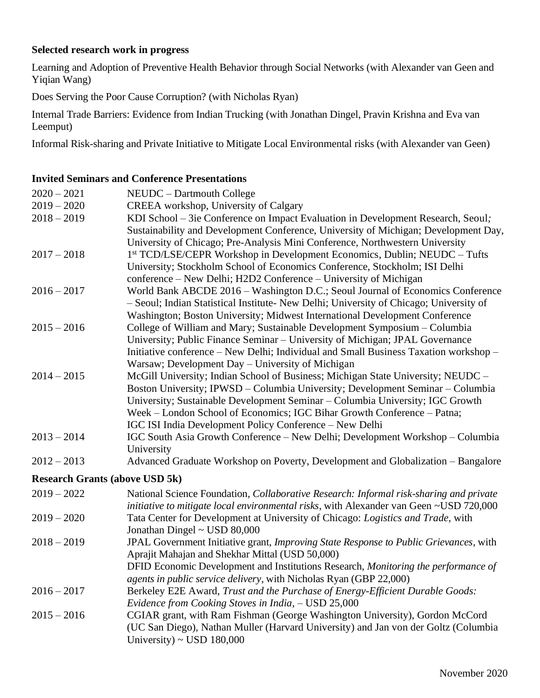## **Selected research work in progress**

Learning and Adoption of Preventive Health Behavior through Social Networks (with Alexander van Geen and Yiqian Wang)

Does Serving the Poor Cause Corruption? (with Nicholas Ryan)

Internal Trade Barriers: Evidence from Indian Trucking (with Jonathan Dingel, Pravin Krishna and Eva van Leemput)

Informal Risk-sharing and Private Initiative to Mitigate Local Environmental risks (with Alexander van Geen)

## **Invited Seminars and Conference Presentations**

| $2020 - 2021$                         | NEUDC - Dartmouth College                                                                                                                                                                                                                                                                                                                                                                 |
|---------------------------------------|-------------------------------------------------------------------------------------------------------------------------------------------------------------------------------------------------------------------------------------------------------------------------------------------------------------------------------------------------------------------------------------------|
| $2019 - 2020$                         | CREEA workshop, University of Calgary                                                                                                                                                                                                                                                                                                                                                     |
| $2018 - 2019$                         | KDI School - 3ie Conference on Impact Evaluation in Development Research, Seoul;<br>Sustainability and Development Conference, University of Michigan; Development Day,<br>University of Chicago; Pre-Analysis Mini Conference, Northwestern University                                                                                                                                   |
| $2017 - 2018$                         | 1st TCD/LSE/CEPR Workshop in Development Economics, Dublin; NEUDC - Tufts<br>University; Stockholm School of Economics Conference, Stockholm; ISI Delhi<br>conference – New Delhi; H2D2 Conference – University of Michigan                                                                                                                                                               |
| $2016 - 2017$                         | World Bank ABCDE 2016 - Washington D.C.; Seoul Journal of Economics Conference<br>- Seoul; Indian Statistical Institute- New Delhi; University of Chicago; University of<br>Washington; Boston University; Midwest International Development Conference                                                                                                                                   |
| $2015 - 2016$                         | College of William and Mary; Sustainable Development Symposium – Columbia<br>University; Public Finance Seminar - University of Michigan; JPAL Governance<br>Initiative conference - New Delhi; Individual and Small Business Taxation workshop -<br>Warsaw; Development Day - University of Michigan                                                                                     |
| $2014 - 2015$                         | McGill University; Indian School of Business; Michigan State University; NEUDC -<br>Boston University; IPWSD – Columbia University; Development Seminar – Columbia<br>University; Sustainable Development Seminar - Columbia University; IGC Growth<br>Week - London School of Economics; IGC Bihar Growth Conference - Patna;<br>IGC ISI India Development Policy Conference - New Delhi |
| $2013 - 2014$                         | IGC South Asia Growth Conference - New Delhi; Development Workshop - Columbia<br>University                                                                                                                                                                                                                                                                                               |
| $2012 - 2013$                         | Advanced Graduate Workshop on Poverty, Development and Globalization - Bangalore                                                                                                                                                                                                                                                                                                          |
| <b>Research Grants (above USD 5k)</b> |                                                                                                                                                                                                                                                                                                                                                                                           |
| $2019 - 2022$                         | National Science Foundation, Collaborative Research: Informal risk-sharing and private<br>initiative to mitigate local environmental risks, with Alexander van Geen ~USD 720,000                                                                                                                                                                                                          |
| $2019 - 2020$                         | Tata Center for Development at University of Chicago: Logistics and Trade, with<br>Jonathan Dingel ~ USD 80,000                                                                                                                                                                                                                                                                           |
| $2018 - 2019$                         | JPAL Government Initiative grant, Improving State Response to Public Grievances, with<br>Aprajit Mahajan and Shekhar Mittal (USD 50,000)<br>DFID Economic Development and Institutions Research, Monitoring the performance of<br>agents in public service delivery, with Nicholas Ryan (GBP 22,000)                                                                                      |
| $2016 - 2017$                         | Berkeley E2E Award, Trust and the Purchase of Energy-Efficient Durable Goods:<br>Evidence from Cooking Stoves in India, - USD 25,000                                                                                                                                                                                                                                                      |
| $2015 - 2016$                         | CGIAR grant, with Ram Fishman (George Washington University), Gordon McCord<br>(UC San Diego), Nathan Muller (Harvard University) and Jan von der Goltz (Columbia<br>University) ~ USD $180,000$                                                                                                                                                                                          |